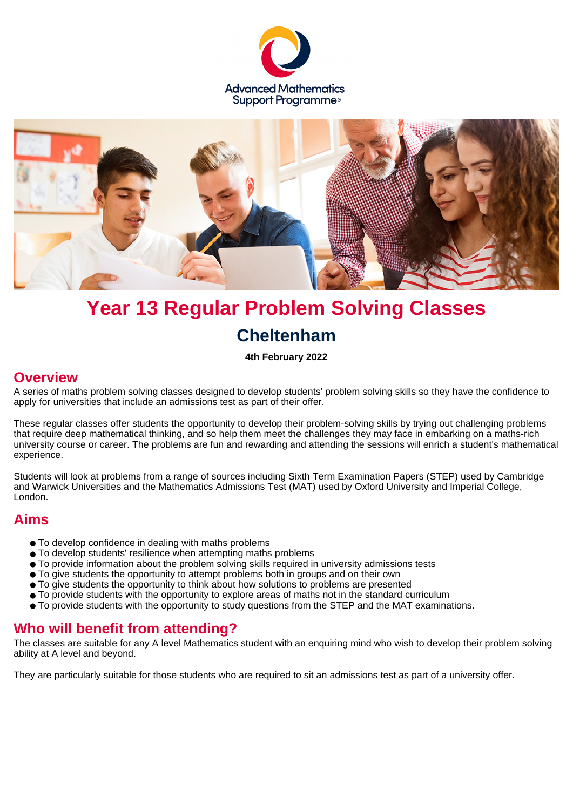



# **Year 13 Regular Problem Solving Classes Cheltenham**

**4th February 2022**

#### **Overview**

A series of maths problem solving classes designed to develop students' problem solving skills so they have the confidence to apply for universities that include an admissions test as part of their offer.

These regular classes offer students the opportunity to develop their problem-solving skills by trying out challenging problems that require deep mathematical thinking, and so help them meet the challenges they may face in embarking on a maths-rich university course or career. The problems are fun and rewarding and attending the sessions will enrich a student's mathematical experience.

Students will look at problems from a range of sources including Sixth Term Examination Papers (STEP) used by Cambridge and Warwick Universities and the Mathematics Admissions Test (MAT) used by Oxford University and Imperial College, London.

## **Aims**

- To develop confidence in dealing with maths problems
- To develop students' resilience when attempting maths problems
- To provide information about the problem solving skills required in university admissions tests
- To give students the opportunity to attempt problems both in groups and on their own
- To give students the opportunity to think about how solutions to problems are presented
- To provide students with the opportunity to explore areas of maths not in the standard curriculum
- To provide students with the opportunity to study questions from the STEP and the MAT examinations.

## **Who will benefit from attending?**

The classes are suitable for any A level Mathematics student with an enquiring mind who wish to develop their problem solving ability at A level and beyond.

They are particularly suitable for those students who are required to sit an admissions test as part of a university offer.